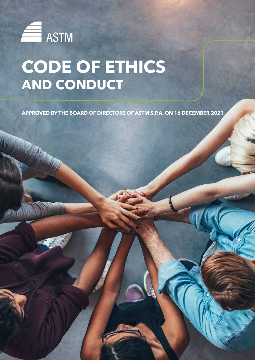

# **CODE OF ETHICS AND CONDUCT**

**APPROVED BY THE BOARD OF DIRECTORS OF ASTM S.P.A. ON 16 DECEMBER 2021**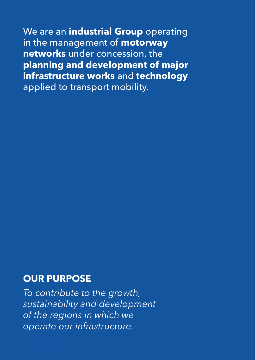We are an **industrial Group** operating in the management of **motorway networks** under concession, the **planning and development of major infrastructure works** and **technology** applied to transport mobility.

# **OUR PURPOSE**

*To contribute to the growth, sustainability and development of the regions in which we operate our infrastructure.*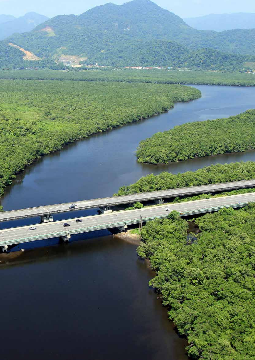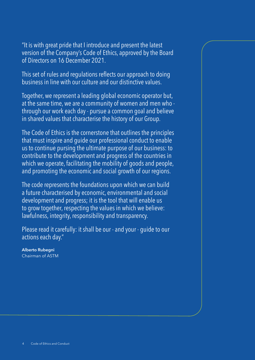"It is with great pride that I introduce and present the latest version of the Company's Code of Ethics, approved by the Board of Directors on 16 December 2021.

This set of rules and regulations reflects our approach to doing business in line with our culture and our distinctive values.

Together, we represent a leading global economic operator but, at the same time, we are a community of women and men who through our work each day - pursue a common goal and believe in shared values that characterise the history of our Group.

The Code of Ethics is the cornerstone that outlines the principles that must inspire and guide our professional conduct to enable us to continue pursing the ultimate purpose of our business: to contribute to the development and progress of the countries in which we operate, facilitating the mobility of goods and people, and promoting the economic and social growth of our regions.

The code represents the foundations upon which we can build a future characterised by economic, environmental and social development and progress; it is the tool that will enable us to grow together, respecting the values in which we believe: lawfulness, integrity, responsibility and transparency.

Please read it carefully: it shall be our - and your - guide to our actions each day."

**Alberto Rubegni** Chairman of ASTM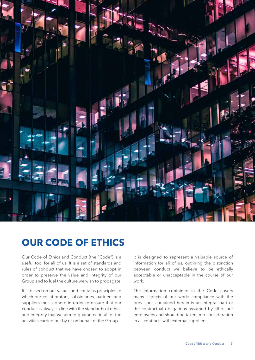

# **OUR CODE OF ETHICS**

Our Code of Ethics and Conduct (the "Code") is a useful tool for all of us. It is a set of standards and rules of conduct that we have chosen to adopt in order to preserve the value and integrity of our Group and to fuel the culture we wish to propagate.

It is based on our values and contains principles to which our collaborators, subsidiaries, partners and suppliers must adhere in order to ensure that our conduct is always in line with the standards of ethics and integrity that we aim to guarantee in all of the activities carried out by or on behalf of the Group.

It is designed to represent a valuable source of information for all of us, outlining the distinction between conduct we believe to be ethically acceptable or unacceptable in the course of our work.

The information contained in the Code covers many aspects of our work: compliance with the provisions contained herein is an integral part of the contractual obligations assumed by all of our employees and should be taken into consideration in all contracts with external suppliers.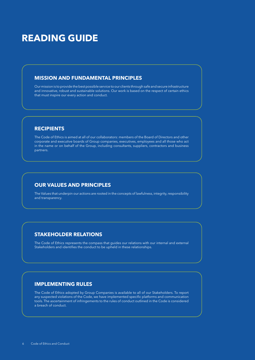# **READING GUIDE**

#### **MISSION AND FUNDAMENTAL PRINCIPLES**

Our mission is to provide the best possible service to our clients through safe and secure infrastructure and innovative, robust and sustainable solutions. Our work is based on the respect of certain ethics that must inspire our every action and conduct.

#### **RECIPIENTS**

The Code of Ethics is aimed at all of our collaborators: members of the Board of Directors and other corporate and executive boards of Group companies, executives, employees and all those who act in the name or on behalf of the Group, including consultants, suppliers, contractors and business partners.

#### **OUR VALUES AND PRINCIPLES**

The Values that underpin our actions are rooted in the concepts of lawfulness, integrity, responsibility and transparency.

#### **STAKEHOLDER RELATIONS**

The Code of Ethics represents the compass that guides our relations with our internal and external Stakeholders and identifies the conduct to be upheld in these relationships.

#### **IMPLEMENTING RULES**

The Code of Ethics adopted by Group Companies is available to all of our Stakeholders. To report any suspected violations of the Code, we have implemented specific platforms and communication tools. The ascertainment of infringements to the rules of conduct outlined in the Code is considered a breach of conduct.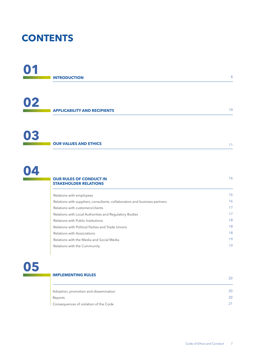# **CONTENTS**

|    | <b>INTRODUCTION</b> | 8 |
|----|---------------------|---|
|    |                     |   |
|    |                     |   |
| 02 |                     |   |
|    |                     |   |

**OUR VALUES AND ETHICS** 

**04**

**03**

#### **OUR RULES OF CONDUCT IN STAKEHOLDER RELATIONS**

16 16 17 17 18 18 18 19 19 Relations with employees Relations with suppliers, consultants, collaborators and business partners Relations with customers/clients Relations with Local Authorities and Regulatory Bodies Relations with Public Institutions Relations with Political Parties and Trade Unions Relations with Associations Relations with the Media and Social Media Relations with the Community

# **05**

#### **IMPLEMENTING RULES**

| Adoption, promotion and dissemination | 20 |
|---------------------------------------|----|
| Reports                               | 20 |
| Consequences of violation of the Code |    |

20

11

16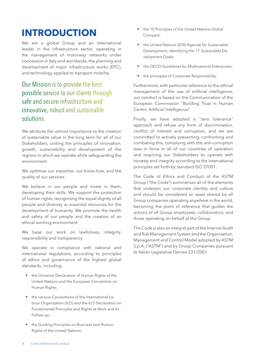# **INTRODUCTION**

We are a global Group and an international leader in the infrastructure sector, operating in the management of motorway networks under concession in Italy and worldwide, the planning and development of major infrastructure works (EPC), and technology applied to transport mobility.

# Our Mission is to provide the best possible service to our clients through safe and secure infrastructure and innovative, robust and sustainable solutions.

We attribute the utmost importance to the creation of sustainable value in the long term for all of our Stakeholders, uniting the principles of innovation, growth, sustainability and development of the regions in which we operate while safeguarding the environment.

We optimise our expertise, our know-how, and the quality of our services.

We believe in our people and invest in them, developing their skills. We support the protection of human rights, recognising the equal dignity of all people and diversity as essential resources for the development of humanity. We promote the health and safety of our people and the creation of an ethical working environment.

We base our work on lawfulness, integrity, responsibility and transparency.

We operate in compliance with national and international regulations, according to principles of ethics and governance of the highest global standards, including:

- the Universal Declaration of Human Rights of the United Nations and the European Convention on Human Rights;
- **•** the various Conventions of the International Labour Organization (ILO) and the ILO Declaration on Fundamental Principles and Rights at Work and its Follow-up;
- **•** the Guiding Principles on Business and Human Rights of the United Nations;
- **•** the 10 Principles of the United Nations Global Compact;
- **•** the United Nations 2030 Agenda for Sustainable Development, identifying the 17 Sustainable Development Goals;
- **•** the OECD Guidelines for Multinational Enterprises;
- **•** the principles of Corporate Responsibility.

Furthermore, with particular reference to the ethical management of the use of artificial intelligence, our conduct is based on the Communication of the European Commission "Building Trust in Human Centric Artificial Intelligence".

Finally, we have adopted a "zero tolerance" approach and refuse any form of discrimination, conflict of interest and corruption, and we are committed to actively preventing, confronting and combating this, complying with the anti-corruption laws in force in all of our countries of operation and requiring our Stakeholders to operate with honesty and integrity according to the international principles set forth by standard ISO 37001.

The Code of Ethics and Conduct of the ASTM Group ("the Code") summarises all of the elements that underpin our corporate identity and culture and should be considered an asset shared by all Group companies operating anywhere in the world, becoming the point of reference that guides the actions of all Group employees, collaborators, and those operating on behalf of the Group.

The Code is also an integral part of the Internal Audit and Risk Management System and the Organisation, Management and Control Model adopted by ASTM S.p.A. ("ASTM") and by Group Companies pursuant to Italian Legislative Decree 231/2001.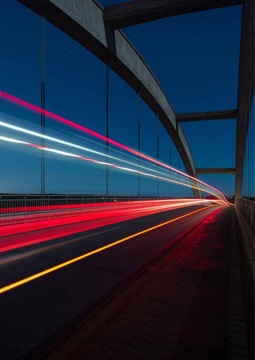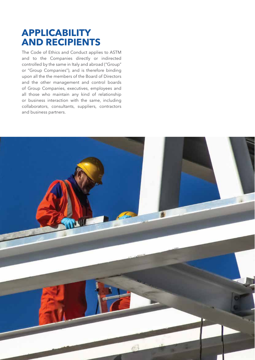# **APPLICABILITY AND RECIPIENTS**

The Code of Ethics and Conduct applies to ASTM and to the Companies directly or indirected controlled by the same in Italy and abroad ("Group" or "Group Companies"), and is therefore binding upon all the the members of the Board of Directors and the other management and control boards of Group Companies, executives, employees and all those who maintain any kind of relationship or business interaction with the same, including collaborators, consultants, suppliers, contractors and business partners.

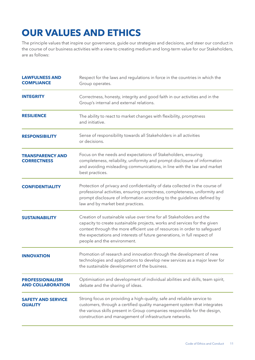# **OUR VALUES AND ETHICS**

The principle values that inspire our governance, guide our strategies and decisions, and steer our conduct in the course of our business activities with a view to creating medium and long-term value for our Stakeholders, are as follows:

| <b>LAWFULNESS AND</b><br><b>COMPLIANCE</b>         | Respect for the laws and regulations in force in the countries in which the<br>Group operates.                                                                                                                                                                                                                                            |  |
|----------------------------------------------------|-------------------------------------------------------------------------------------------------------------------------------------------------------------------------------------------------------------------------------------------------------------------------------------------------------------------------------------------|--|
| <b>INTEGRITY</b>                                   | Correctness, honesty, integrity and good faith in our activities and in the<br>Group's internal and external relations.                                                                                                                                                                                                                   |  |
| <b>RESILIENCE</b>                                  | The ability to react to market changes with flexibility, promptness<br>and initiative.                                                                                                                                                                                                                                                    |  |
| <b>RESPONSIBILITY</b>                              | Sense of responsibility towards all Stakeholders in all activities<br>or decisions.                                                                                                                                                                                                                                                       |  |
| <b>TRANSPARENCY AND</b><br><b>CORRECTNESS</b>      | Focus on the needs and expectations of Stakeholders, ensuring<br>completeness, reliability, uniformity and prompt disclosure of information<br>and avoiding misleading communications, in line with the law and market<br>best practices.                                                                                                 |  |
| <b>CONFIDENTIALITY</b>                             | Protection of privacy and confidentiality of data collected in the course of<br>professional activities, ensuring correctness, completeness, uniformity and<br>prompt disclosure of information according to the guidelines defined by<br>law and by market best practices.                                                               |  |
| <b>SUSTAINABILITY</b>                              | Creation of sustainable value over time for all Stakeholders and the<br>capacity to create sustainable projects, works and services for the given<br>context through the more efficient use of resources in order to safeguard<br>the expectations and interests of future generations, in full respect of<br>people and the environment. |  |
| <b>INNOVATION</b>                                  | Promotion of research and innovation through the development of new<br>technologies and applications to develop new services as a major lever for<br>the sustainable development of the business.                                                                                                                                         |  |
| <b>PROFESSIONALISM</b><br><b>AND COLLABORATION</b> | Optimisation and development of individual abilities and skills, team spirit,<br>debate and the sharing of ideas.                                                                                                                                                                                                                         |  |
| <b>SAFETY AND SERVICE</b><br><b>QUALITY</b>        | Strong focus on providing a high-quality, safe and reliable service to<br>customers, through a certified quality management system that integrates<br>the various skills present in Group companies responsible for the design,<br>construction and management of infrastructure networks.                                                |  |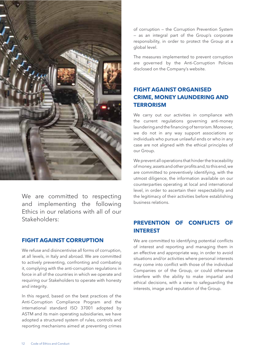

We are committed to respecting and implementing the following Ethics in our relations with all of our Stakeholders:

#### **FIGHT AGAINST CORRUPTION**

We refuse and disincentivise all forms of corruption, at all levels, in Italy and abroad. We are committed to actively preventing, confronting and combating it, complying with the anti-corruption regulations in force in all of the countries in which we operate and requiring our Stakeholders to operate with honesty and integrity.

In this regard, based on the best practices of the Anti-Corruption Compliance Program and the international standard ISO 37001 adopted by ASTM and its main operating subsidiaries, we have adopted a structured system of rules, controls and reporting mechanisms aimed at preventing crimes

of corruption — the Corruption Prevention System — as an integral part of the Group's corporate responsibility, in order to protect the Group at a global level.

The measures implemented to prevent corruption are governed by the Anti-Corruption Policies disclosed on the Company's website.

# **FIGHT AGAINST ORGANISED CRIME, MONEY LAUNDERING AND TERRORISM**

We carry out our activities in compliance with the current regulations governing anti-money laundering and the financing of terrorism. Moreover, we do not in any way support associations or individuals who pursue unlawful ends or who in any case are not aligned with the ethical principles of our Group.

We prevent all operations that hinder the traceability of money, assets and other profits and, to this end, we are committed to preventively identifying, with the utmost diligence, the information available on our counterparties operating at local and international level, in order to ascertain their respectability and the legitimacy of their activities before establishing business relations.

# **PREVENTION OF CONFLICTS OF INTEREST**

We are committed to identifying potential conflicts of interest and reporting and managing them in an effective and appropriate way, in order to avoid situations and/or activities where personal interests may come into conflict with those of the individual Companies or of the Group, or could otherwise interfere with the ability to make impartial and ethical decisions, with a view to safeguarding the interests, image and reputation of the Group.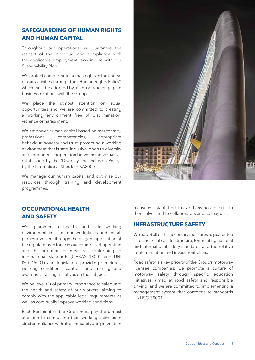## **SAFEGUARDING OF HUMAN RIGHTS AND HUMAN CAPITAL**

Throughout our operations we guarantee the respect of the individual and compliance with the applicable employment laws in line with our Sustainability Plan.

We protect and promote human rights in the course of our activities through the "Human Rights Policy", which must be adopted by all those who engage in business relations with the Group.

We place the utmost attention on equal opportunities and we are committed to creating a working environment free of discrimination, violence or harassment.

We empower human capital based on meritocracy, professional competencies, appropriate behaviour, honesty and trust, promoting a working environment that is safe, inclusive, open to diversity and engenders cooperation between individuals as established by the "Diversity and Inclusion Policy" by the International Standard SA8000.

We manage our human capital and optimise our resources through training and development programmes.



# **OCCUPATIONAL HEALTH AND SAFETY**

We guarantee a healthy and safe working environment in all of our workplaces and for all parties involved, through the diligent application of the regulations in force in our countries of operation and the adoption of measures conforming to international standards (OHSAS 18001 and UNI ISO 45001) and legislation, providing structures, working conditions, controls and training and awareness-raising initiatives on the subject.

We believe it is of primary importance to safeguard the health and safety of our workers, aiming to comply with the applicable legal requirements as well as continually improve working conditions.

Each Recipient of the Code must pay the utmost attention to conducting their working activities in strict compliance with all of the safety and prevention

measures established, to avoid any possible risk to themselves and to collaborators and colleagues.

### **INFRASTRUCTURE SAFETY**

We adopt all of the necessary measures to guarantee safe and reliable infrastructure, formulating national and international safety standards and the relative implementation and investment plans.

Road safety is a key priority of the Group's motorway licensee companies: we promote a culture of motorway safety through specific education initiatives aimed at road safety and responsible driving, and we are committed to implementing a management system that conforms to standards UNI ISO 39001.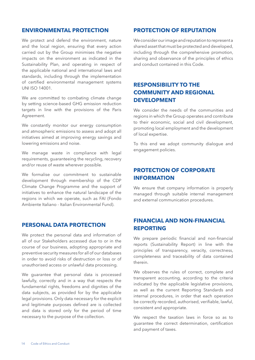#### **ENVIRONMENTAL PROTECTION**

We protect and defend the environment, nature and the local region, ensuring that every action carried out by the Group minimises the negative impacts on the environment as indicated in the Sustainability Plan, and operating in respect of the applicable national and international laws and standards, including through the implementation of certified environmental management systems UNI ISO 14001.

We are committed to combating climate change by setting science-based GHG emission reduction targets in line with the provisions of the Paris Agreement.

We constantly monitor our energy consumption and atmospheric emissions to assess and adopt all initiatives aimed at improving energy savings and lowering emissions and noise.

We manage waste in compliance with legal requirements, guaranteeing the recycling, recovery and/or reuse of waste wherever possible.

We formalise our commitment to sustainable development through membership of the CDP Climate Change Programme and the support of initiatives to enhance the natural landscape of the regions in which we operate, such as FAI (Fondo Ambiente Italiano - Italian Environmental Fund).

#### **PERSONAL DATA PROTECTION**

We protect the personal data and information of all of our Stakeholders accessed due to or in the course of our business, adopting appropriate and preventive security measures for all of our databases in order to avoid risks of destruction or loss or of unauthorised access or unlawful data processing.

We quarantee that personal data is processed lawfully, correctly and in a way that respects the fundamental rights, freedoms and dignities of the data subjects, as provided for by the applicable legal provisions. Only data necessary for the explicit and legitimate purposes defined are is collected and data is stored only for the period of time necessary to the purpose of the collection.

#### **PROTECTION OF REPUTATION**

We consider our image and reputation to represent a shared asset that must be protected and developed, including through the comprehensive promotion, sharing and observance of the principles of ethics and conduct contained in this Code.

# **RESPONSIBILITY TO THE COMMUNITY AND REGIONAL DEVELOPMENT**

We consider the needs of the communities and regions in which the Group operates and contribute to their economic, social and civil development, promoting local employment and the development of local expertise.

To this end we adopt community dialogue and engagement policies.

### **PROTECTION OF CORPORATE INFORMATION**

We ensure that company information is properly managed through suitable internal management and external communication procedures.

### **FINANCIAL AND NON-FINANCIAL REPORTING**

We prepare periodic financial and non-financial reports (Sustainability Report) in line with the principles of transparency, veracity, correctness, completeness and traceability of data contained therein.

We observes the rules of correct, complete and transparent accounting, according to the criteria indicated by the applicable legislative provisions, as well as the current Reporting Standards and internal procedures, in order that each operation be correctly recorded, authorised, verifiable, lawful, consistent and appropriate.

We respect the taxation laws in force so as to guarantee the correct determination, certification and payment of taxes.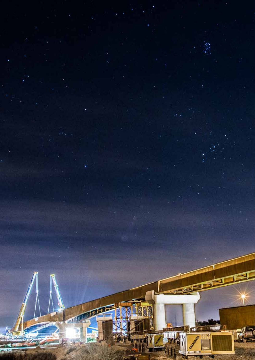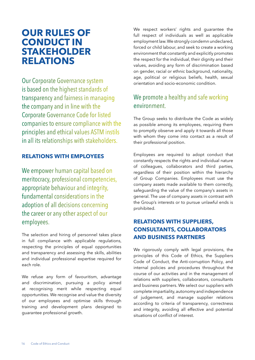# **OUR RULES OF CONDUCT IN STAKEHOLDER RELATIONS**

Our Corporate Governance system is based on the highest standards of transparency and fairness in managing the company and in line with the Corporate Governance Code for listed companies to ensure compliance with the principles and ethical values ASTM instils in all its relationships with stakeholders.

### **RELATIONS WITH EMPLOYEES**

We empower human capital based on meritocracy, professional competencies, appropriate behaviour and integrity, fundamental considerations in the adoption of all decisions concerning the career or any other aspect of our employees.

The selection and hiring of personnel takes place in full compliance with applicable regulations, respecting the principles of equal opportunities and transparency and assessing the skills, abilities and individual professional expertise required for each role.

We refuse any form of favouritism, advantage and discrimination, pursuing a policy aimed at recognising merit while respecting equal opportunities. We recognise and value the diversity of our employees and optimise skills through training and development plans designed to guarantee professional growth.

We respect workers' rights and guarantee the full respect of individuals as well as applicable employment law. We strongly condemn undeclared, forced or child labour, and seek to create a working environment that constantly and explicitly promotes the respect for the individual, their dignity and their values, avoiding any form of discrimination based on gender, racial or ethnic background, nationality, age, political or religious beliefs, health, sexual orientation and socio-economic condition.

# We promote a healthy and safe working environment.

The Group seeks to distribute the Code as widely as possible among its employees, requiring them to promptly observe and apply it towards all those with whom they come into contact as a result of their professional position.

Employees are required to adopt conduct that constantly respects the rights and individual nature of colleagues, collaborators and third parties, regardless of their position within the hierarchy of Group Companies. Employees must use the company assets made available to them correctly, safeguarding the value of the company's assets in general. The use of company assets in contrast with the Group's interests or to pursue unlawful ends is prohibited.

# **RELATIONS WITH SUPPLIERS, CONSULTANTS, COLLABORATORS AND BUSINESS PARTNERS**

We rigorously comply with legal provisions, the principles of this Code of Ethics, the Suppliers Code of Conduct, the Anti-corruption Policy, and internal policies and procedures throughout the course of our activities and in the management of relations with suppliers, collaborators, consultants and business partners. We select our suppliers with complete impartiality, autonomy and independence of judgement, and manage supplier relations according to criteria of transparency, correctness and integrity, avoiding all effective and potential situations of conflict of interest.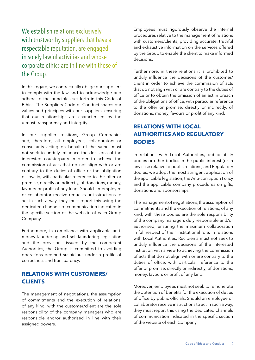We establish relations exclusively with trustworthy suppliers that have a respectable reputation, are engaged in solely lawful activities and whose corporate ethics are in line with those of the Group.

In this regard, we contractually oblige our suppliers to comply with the law and to acknowledge and adhere to the principles set forth in this Code of Ethics. The Suppliers Code of Conduct shares our values and principles with our suppliers, ensuring that our relationships are characterised by the utmost transparency and integrity.

In our supplier relations, Group Companies and, therefore, all employees, collaborators or consultants acting on behalf of the same, must not seek to unduly influence the decisions of the interested counterparty in order to achieve the commission of acts that do not align with or are contrary to the duties of office or the obligation of loyalty, with particular reference to the offer or promise, directly or indirectly, of donations, money, favours or profit of any kind. Should an employee or collaborator receive requests or instructions to act in such a way, they must report this using the dedicated channels of communication indicated in the specific section of the website of each Group Company.

Furthermore, in compliance with applicable antimoney laundering and self-laundering legislation and the provisions issued by the competent Authorities, the Group is committed to avoiding operations deemed suspicious under a profile of correctness and transparency.

# **RELATIONS WITH CUSTOMERS/ CLIENTS**

The management of negotiations, the assumption of commitments and the execution of relations, of any kind, with the customer/client are the sole responsibility of the company managers who are responsible and/or authorised in line with their assigned powers.

Employees must rigorously observe the internal procedures relative to the management of relations with customers/clients, providing accurate, truthful and exhaustive information on the services offered by the Group to enable the client to make informed decisions.

Furthermore, in these relations it is prohibited to unduly influence the decisions of the customer/ client in order to achieve the commission of acts that do not align with or are contrary to the duties of office or to obtain the omission of an act in breach of the obligations of office, with particular reference to the offer or promise, directly or indirectly, of donations, money, favours or profit of any kind.

# **RELATIONS WITH LOCAL AUTHORITIES AND REGULATORY BODIES**

In relations with Local Authorities, public utility bodies or other bodies in the public interest (or in any case relative to public relations) and Regulatory Bodies, we adopt the most stringent application of the applicable legislation, the Anti-corruption Policy and the applicable company procedures on gifts, donations and sponsorships.

The management of negotiations, the assumption of commitments and the execution of relations, of any kind, with these bodies are the sole responsibility of the company managers duly responsible and/or authorised, ensuring the maximum collaboration in full respect of their institutional role. In relations with Local Authorities, Recipients must not seek to unduly influence the decisions of the interested institution with a view to achieving the commission of acts that do not align with or are contrary to the duties of office, with particular reference to the offer or promise, directly or indirectly, of donations, money, favours or profit of any kind.

Moreover, employees must not seek to remunerate the obtention of benefits for the execution of duties of office by public officials. Should an employee or collaborator receive instructions to act in such a way, they must report this using the dedicated channels of communication indicated in the specific section of the website of each Company.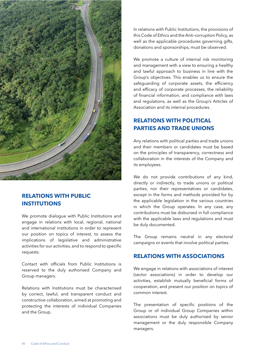

### **RELATIONS WITH PUBLIC INSTITUTIONS**

We promote dialogue with Public Institutions and engage in relations with local, regional, national and international institutions in order to represent our position on topics of interest, to assess the implications of legislative and administrative activities for our activities, and to respond to specific requests.

Contact with officials from Public Institutions is reserved to the duly authorised Company and Group managers.

Relations with Institutions must be characterised by correct, lawful, and transparent conduct and constructive collaboration, aimed at promoting and protecting the interests of individual Companies and the Group.

In relations with Public Institutions, the provisions of this Code of Ethics and the Anti-corruption Policy, as well as the applicable procedures governing gifts, donations and sponsorships, must be observed.

We promote a culture of internal risk monitoring and management with a view to ensuring a healthy and lawful approach to business in line with the Group's objectives. This enables us to ensure the safeguarding of corporate assets, the efficiency and efficacy of corporate processes, the reliability of financial information, and compliance with laws and regulations, as well as the Group's Articles of Association and its internal procedures.

# **RELATIONS WITH POLITICAL PARTIES AND TRADE UNIONS**

Any relations with political parties and trade unions and their members or candidates must be based on the principles of transparency, correctness and collaboration in the interests of the Company and its employees.

We do not provide contributions of any kind, directly or indirectly, to trade unions or political parties, nor their representatives or candidates, except in the forms and methods provided for by the applicable legislation in the various countries in which the Group operates. In any case, any contributions must be disbursed in full compliance with the applicable laws and regulations and must be duly documented.

The Group remains neutral in any electoral campaigns or events that involve political parties.

#### **RELATIONS WITH ASSOCIATIONS**

We engage in relations with associations of interest (sector associations) in order to develop our activities, establish mutually beneficial forms of cooperation, and present our position on topics of common interest.

The presentation of specific positions of the Group or of individual Group Companies within associations must be duly authorised by senior management or the duly responsible Company managers.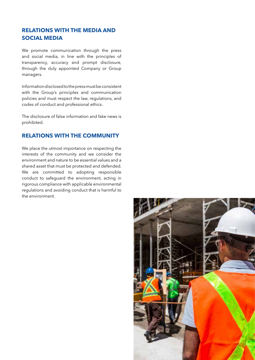## **RELATIONS WITH THE MEDIA AND SOCIAL MEDIA**

We promote communication through the press and social media, in line with the principles of transparency, accuracy and prompt disclosure, through the duly appointed Company or Group managers.

Information disclosed to the press must be consistent with the Group's principles and communication policies and must respect the law, regulations, and codes of conduct and professional ethics.

The disclosure of false information and fake news is prohibited.

#### **RELATIONS WITH THE COMMUNITY**

We place the utmost importance on respecting the interests of the community and we consider the environment and nature to be essential values and a shared asset that must be protected and defended. We are committed to adopting responsible conduct to safeguard the environment, acting in rigorous compliance with applicable environmental regulations and avoiding conduct that is harmful to the environment.

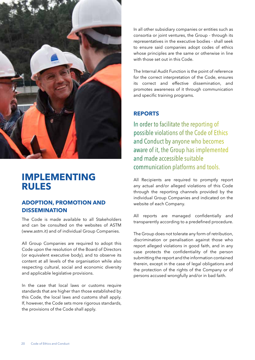

# **IMPLEMENTING RULES**

### **ADOPTION, PROMOTION AND DISSEMINATION**

The Code is made available to all Stakeholders and can be consulted on the websites of ASTM (www.astm.it) and of individual Group Companies.

All Group Companies are required to adopt this Code upon the resolution of the Board of Directors (or equivalent executive body), and to observe its content at all levels of the organisation while also respecting cultural, social and economic diversity and applicable legislative provisions.

In the case that local laws or customs require standards that are higher than those established by this Code, the local laws and customs shall apply. If, however, the Code sets more rigorous standards, the provisions of the Code shall apply.

In all other subsidiary companies or entities such as consortia or joint ventures, the Group - through its representatives in the executive bodies - shall seek to ensure said companies adopt codes of ethics whose principles are the same or otherwise in line with those set out in this Code.

The Internal Audit Function is the point of reference for the correct interpretation of the Code, ensures its correct and effective dissemination, and promotes awareness of it through communication and specific training programs.

### **REPORTS**

In order to facilitate the reporting of possible violations of the Code of Ethics and Conduct by anyone who becomes aware of it, the Group has implemented and made accessible suitable communication platforms and tools.

All Recipients are required to promptly report any actual and/or alleged violations of this Code through the reporting channels provided by the individual Group Companies and indicated on the website of each Company.

All reports are managed confidentially and transparently according to a predefined procedure.

The Group does not tolerate any form of retribution, discrimination or penalisation against those who report alleged violations in good faith, and in any case protects the confidentiality of the person submitting the report and the information contained therein, except in the case of legal obligations and the protection of the rights of the Company or of persons accused wrongfully and/or in bad faith.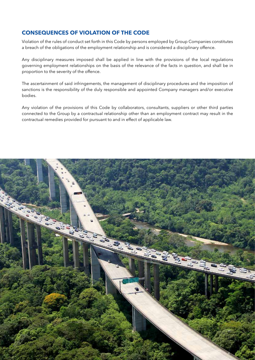## **CONSEQUENCES OF VIOLATION OF THE CODE**

Violation of the rules of conduct set forth in this Code by persons employed by Group Companies constitutes a breach of the obligations of the employment relationship and is considered a disciplinary offence.

Any disciplinary measures imposed shall be applied in line with the provisions of the local regulations governing employment relationships on the basis of the relevance of the facts in question, and shall be in proportion to the severity of the offence.

The ascertainment of said infringements, the management of disciplinary procedures and the imposition of sanctions is the responsibility of the duly responsible and appointed Company managers and/or executive bodies.

Any violation of the provisions of this Code by collaborators, consultants, suppliers or other third parties connected to the Group by a contractual relationship other than an employment contract may result in the contractual remedies provided for pursuant to and in effect of applicable law.